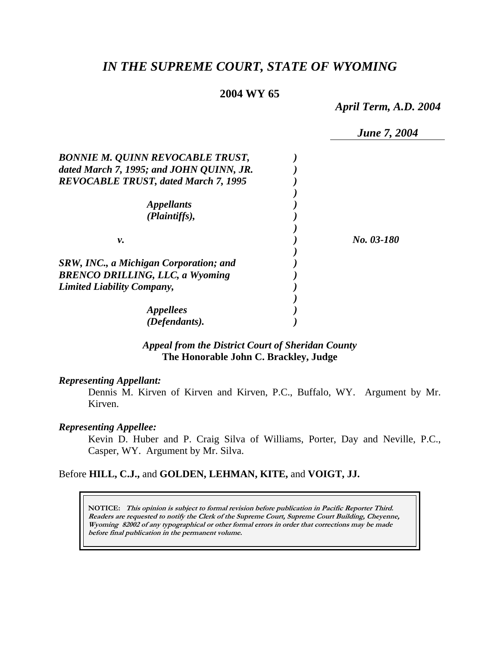# *IN THE SUPREME COURT, STATE OF WYOMING*

# **2004 WY 65**

*April Term, A.D. 2004* 

|                                               | <b>June 7, 2004</b> |
|-----------------------------------------------|---------------------|
| <b>BONNIE M. QUINN REVOCABLE TRUST,</b>       |                     |
| dated March 7, 1995; and JOHN QUINN, JR.      |                     |
| <b>REVOCABLE TRUST, dated March 7, 1995</b>   |                     |
|                                               |                     |
| <i>Appellants</i>                             |                     |
| (Plaintiffs),                                 |                     |
|                                               |                     |
| ν.                                            | No. 03-180          |
|                                               |                     |
| <b>SRW, INC., a Michigan Corporation; and</b> |                     |
| <b>BRENCO DRILLING, LLC, a Wyoming</b>        |                     |
| <b>Limited Liability Company,</b>             |                     |
|                                               |                     |
| <i>Appellees</i>                              |                     |
| (Defendants).                                 |                     |

## *Appeal from the District Court of Sheridan County* **The Honorable John C. Brackley, Judge**

### *Representing Appellant:*

Dennis M. Kirven of Kirven and Kirven, P.C., Buffalo, WY. Argument by Mr. Kirven.

## *Representing Appellee:*

Kevin D. Huber and P. Craig Silva of Williams, Porter, Day and Neville, P.C., Casper, WY. Argument by Mr. Silva.

#### Before **HILL, C.J.,** and **GOLDEN, LEHMAN, KITE,** and **VOIGT, JJ.**

**NOTICE: This opinion is subject to formal revision before publication in Pacific Reporter Third. Readers are requested to notify the Clerk of the Supreme Court, Supreme Court Building, Cheyenne, Wyoming 82002 of any typographical or other formal errors in order that corrections may be made before final publication in the permanent volume.**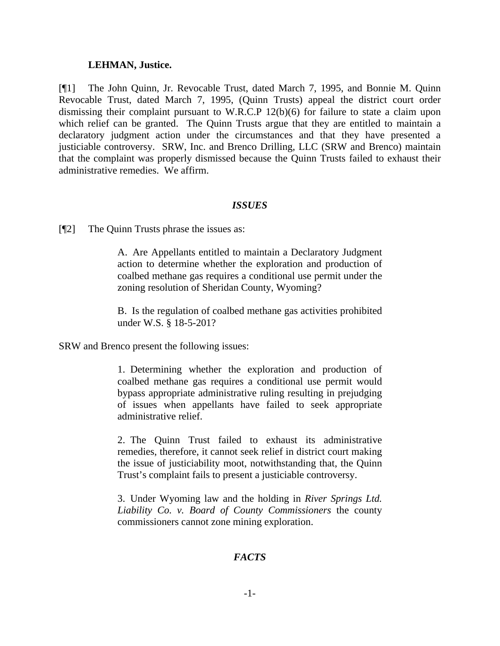#### **LEHMAN, Justice.**

[¶1] The John Quinn, Jr. Revocable Trust, dated March 7, 1995, and Bonnie M. Quinn Revocable Trust, dated March 7, 1995, (Quinn Trusts) appeal the district court order dismissing their complaint pursuant to W.R.C.P 12(b)(6) for failure to state a claim upon which relief can be granted. The Quinn Trusts argue that they are entitled to maintain a declaratory judgment action under the circumstances and that they have presented a justiciable controversy. SRW, Inc. and Brenco Drilling, LLC (SRW and Brenco) maintain that the complaint was properly dismissed because the Quinn Trusts failed to exhaust their administrative remedies. We affirm.

### *ISSUES*

[¶2] The Quinn Trusts phrase the issues as:

A. Are Appellants entitled to maintain a Declaratory Judgment action to determine whether the exploration and production of coalbed methane gas requires a conditional use permit under the zoning resolution of Sheridan County, Wyoming?

B. Is the regulation of coalbed methane gas activities prohibited under W.S. § 18-5-201?

SRW and Brenco present the following issues:

1. Determining whether the exploration and production of coalbed methane gas requires a conditional use permit would bypass appropriate administrative ruling resulting in prejudging of issues when appellants have failed to seek appropriate administrative relief.

2. The Quinn Trust failed to exhaust its administrative remedies, therefore, it cannot seek relief in district court making the issue of justiciability moot, notwithstanding that, the Quinn Trust's complaint fails to present a justiciable controversy.

3. Under Wyoming law and the holding in *River Springs Ltd. Liability Co. v. Board of County Commissioners* the county commissioners cannot zone mining exploration.

# *FACTS*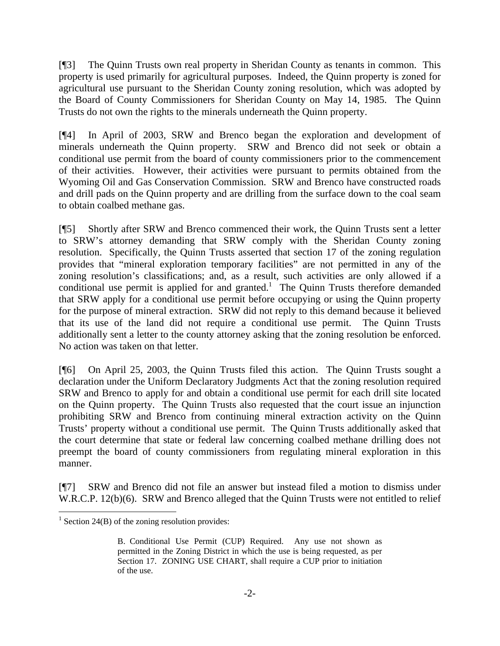[¶3] The Quinn Trusts own real property in Sheridan County as tenants in common. This property is used primarily for agricultural purposes. Indeed, the Quinn property is zoned for agricultural use pursuant to the Sheridan County zoning resolution, which was adopted by the Board of County Commissioners for Sheridan County on May 14, 1985. The Quinn Trusts do not own the rights to the minerals underneath the Quinn property.

[¶4] In April of 2003, SRW and Brenco began the exploration and development of minerals underneath the Quinn property. SRW and Brenco did not seek or obtain a conditional use permit from the board of county commissioners prior to the commencement of their activities. However, their activities were pursuant to permits obtained from the Wyoming Oil and Gas Conservation Commission. SRW and Brenco have constructed roads and drill pads on the Quinn property and are drilling from the surface down to the coal seam to obtain coalbed methane gas.

[¶5] Shortly after SRW and Brenco commenced their work, the Quinn Trusts sent a letter to SRW's attorney demanding that SRW comply with the Sheridan County zoning resolution. Specifically, the Quinn Trusts asserted that section 17 of the zoning regulation provides that "mineral exploration temporary facilities" are not permitted in any of the zoning resolution's classifications; and, as a result, such activities are only allowed if a conditional use permit is applied for and granted.<sup>1</sup> The Quinn Trusts therefore demanded that SRW apply for a conditional use permit before occupying or using the Quinn property for the purpose of mineral extraction. SRW did not reply to this demand because it believed that its use of the land did not require a conditional use permit. The Quinn Trusts additionally sent a letter to the county attorney asking that the zoning resolution be enforced. No action was taken on that letter.

[¶6] On April 25, 2003, the Quinn Trusts filed this action. The Quinn Trusts sought a declaration under the Uniform Declaratory Judgments Act that the zoning resolution required SRW and Brenco to apply for and obtain a conditional use permit for each drill site located on the Quinn property. The Quinn Trusts also requested that the court issue an injunction prohibiting SRW and Brenco from continuing mineral extraction activity on the Quinn Trusts' property without a conditional use permit. The Quinn Trusts additionally asked that the court determine that state or federal law concerning coalbed methane drilling does not preempt the board of county commissioners from regulating mineral exploration in this manner.

[¶7] SRW and Brenco did not file an answer but instead filed a motion to dismiss under W.R.C.P. 12(b)(6). SRW and Brenco alleged that the Quinn Trusts were not entitled to relief

<sup>&</sup>lt;sup>1</sup> Section 24(B) of the zoning resolution provides:

B. Conditional Use Permit (CUP) Required. Any use not shown as permitted in the Zoning District in which the use is being requested, as per Section 17. ZONING USE CHART, shall require a CUP prior to initiation of the use.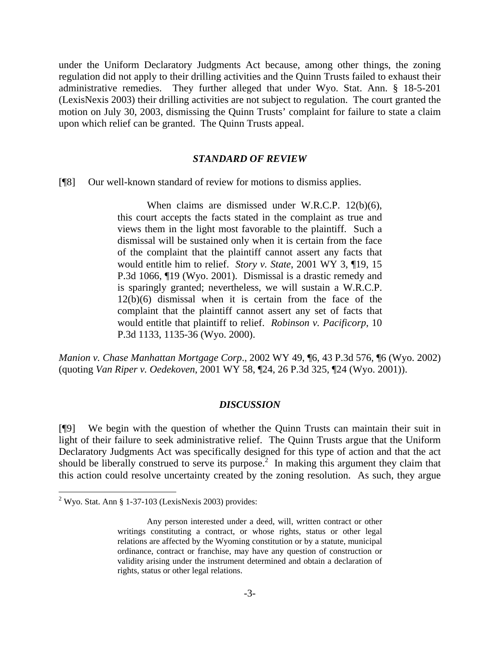under the Uniform Declaratory Judgments Act because, among other things, the zoning regulation did not apply to their drilling activities and the Quinn Trusts failed to exhaust their administrative remedies. They further alleged that under Wyo. Stat. Ann. § 18-5-201 (LexisNexis 2003) their drilling activities are not subject to regulation. The court granted the motion on July 30, 2003, dismissing the Quinn Trusts' complaint for failure to state a claim upon which relief can be granted. The Quinn Trusts appeal.

#### *STANDARD OF REVIEW*

[¶8] Our well-known standard of review for motions to dismiss applies.

 When claims are dismissed under W.R.C.P. 12(b)(6), this court accepts the facts stated in the complaint as true and views them in the light most favorable to the plaintiff. Such a dismissal will be sustained only when it is certain from the face of the complaint that the plaintiff cannot assert any facts that would entitle him to relief. *Story v. State*, 2001 WY 3, ¶19, 15 P.3d 1066, ¶19 (Wyo. 2001). Dismissal is a drastic remedy and is sparingly granted; nevertheless, we will sustain a W.R.C.P. 12(b)(6) dismissal when it is certain from the face of the complaint that the plaintiff cannot assert any set of facts that would entitle that plaintiff to relief. *Robinson v. Pacificorp*, 10 P.3d 1133, 1135-36 (Wyo. 2000).

*Manion v. Chase Manhattan Mortgage Corp*., 2002 WY 49, ¶6, 43 P.3d 576, ¶6 (Wyo. 2002) (quoting *Van Riper v. Oedekoven*, 2001 WY 58, ¶24, 26 P.3d 325, ¶24 (Wyo. 2001)).

#### *DISCUSSION*

[¶9] We begin with the question of whether the Quinn Trusts can maintain their suit in light of their failure to seek administrative relief. The Quinn Trusts argue that the Uniform Declaratory Judgments Act was specifically designed for this type of action and that the act should be liberally construed to serve its purpose.<sup>2</sup> In making this argument they claim that this action could resolve uncertainty created by the zoning resolution. As such, they argue

l

 $2$  Wyo. Stat. Ann § 1-37-103 (LexisNexis 2003) provides:

Any person interested under a deed, will, written contract or other writings constituting a contract, or whose rights, status or other legal relations are affected by the Wyoming constitution or by a statute, municipal ordinance, contract or franchise, may have any question of construction or validity arising under the instrument determined and obtain a declaration of rights, status or other legal relations.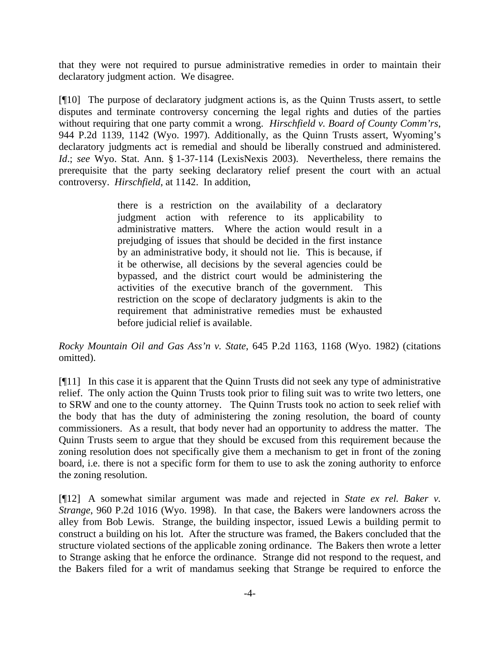that they were not required to pursue administrative remedies in order to maintain their declaratory judgment action. We disagree.

[¶10] The purpose of declaratory judgment actions is, as the Quinn Trusts assert, to settle disputes and terminate controversy concerning the legal rights and duties of the parties without requiring that one party commit a wrong. *Hirschfield v. Board of County Comm'rs*, 944 P.2d 1139, 1142 (Wyo. 1997). Additionally, as the Quinn Trusts assert, Wyoming's declaratory judgments act is remedial and should be liberally construed and administered. *Id*.; *see* Wyo. Stat. Ann. § 1-37-114 (LexisNexis 2003). Nevertheless, there remains the prerequisite that the party seeking declaratory relief present the court with an actual controversy. *Hirschfield*, at 1142. In addition,

> there is a restriction on the availability of a declaratory judgment action with reference to its applicability to administrative matters. Where the action would result in a prejudging of issues that should be decided in the first instance by an administrative body, it should not lie. This is because, if it be otherwise, all decisions by the several agencies could be bypassed, and the district court would be administering the activities of the executive branch of the government. This restriction on the scope of declaratory judgments is akin to the requirement that administrative remedies must be exhausted before judicial relief is available.

*Rocky Mountain Oil and Gas Ass'n v. State*, 645 P.2d 1163, 1168 (Wyo. 1982) (citations omitted).

[¶11] In this case it is apparent that the Quinn Trusts did not seek any type of administrative relief. The only action the Quinn Trusts took prior to filing suit was to write two letters, one to SRW and one to the county attorney. The Quinn Trusts took no action to seek relief with the body that has the duty of administering the zoning resolution, the board of county commissioners. As a result, that body never had an opportunity to address the matter. The Quinn Trusts seem to argue that they should be excused from this requirement because the zoning resolution does not specifically give them a mechanism to get in front of the zoning board, i.e. there is not a specific form for them to use to ask the zoning authority to enforce the zoning resolution.

[¶12] A somewhat similar argument was made and rejected in *State ex rel. Baker v. Strange*, 960 P.2d 1016 (Wyo. 1998). In that case, the Bakers were landowners across the alley from Bob Lewis. Strange, the building inspector, issued Lewis a building permit to construct a building on his lot. After the structure was framed, the Bakers concluded that the structure violated sections of the applicable zoning ordinance. The Bakers then wrote a letter to Strange asking that he enforce the ordinance. Strange did not respond to the request, and the Bakers filed for a writ of mandamus seeking that Strange be required to enforce the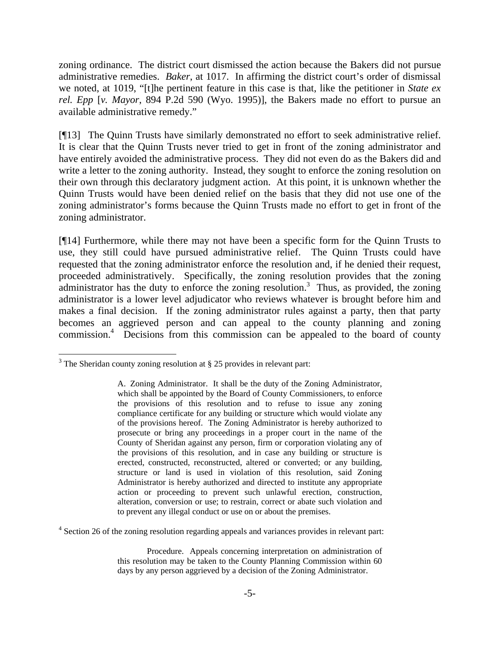zoning ordinance. The district court dismissed the action because the Bakers did not pursue administrative remedies. *Baker*, at 1017. In affirming the district court's order of dismissal we noted, at 1019, "[t]he pertinent feature in this case is that, like the petitioner in *State ex rel. Epp* [*v. Mayor*, 894 P.2d 590 (Wyo. 1995)], the Bakers made no effort to pursue an available administrative remedy."

[¶13] The Quinn Trusts have similarly demonstrated no effort to seek administrative relief. It is clear that the Quinn Trusts never tried to get in front of the zoning administrator and have entirely avoided the administrative process. They did not even do as the Bakers did and write a letter to the zoning authority. Instead, they sought to enforce the zoning resolution on their own through this declaratory judgment action. At this point, it is unknown whether the Quinn Trusts would have been denied relief on the basis that they did not use one of the zoning administrator's forms because the Quinn Trusts made no effort to get in front of the zoning administrator.

[¶14] Furthermore, while there may not have been a specific form for the Quinn Trusts to use, they still could have pursued administrative relief. The Quinn Trusts could have requested that the zoning administrator enforce the resolution and, if he denied their request, proceeded administratively. Specifically, the zoning resolution provides that the zoning administrator has the duty to enforce the zoning resolution.<sup>3</sup> Thus, as provided, the zoning administrator is a lower level adjudicator who reviews whatever is brought before him and makes a final decision. If the zoning administrator rules against a party, then that party becomes an aggrieved person and can appeal to the county planning and zoning commission.<sup>4</sup> Decisions from this commission can be appealed to the board of county

 $\overline{a}$ 

 $3$  The Sheridan county zoning resolution at § 25 provides in relevant part:

A. Zoning Administrator. It shall be the duty of the Zoning Administrator, which shall be appointed by the Board of County Commissioners, to enforce the provisions of this resolution and to refuse to issue any zoning compliance certificate for any building or structure which would violate any of the provisions hereof. The Zoning Administrator is hereby authorized to prosecute or bring any proceedings in a proper court in the name of the County of Sheridan against any person, firm or corporation violating any of the provisions of this resolution, and in case any building or structure is erected, constructed, reconstructed, altered or converted; or any building, structure or land is used in violation of this resolution, said Zoning Administrator is hereby authorized and directed to institute any appropriate action or proceeding to prevent such unlawful erection, construction, alteration, conversion or use; to restrain, correct or abate such violation and to prevent any illegal conduct or use on or about the premises.

<sup>&</sup>lt;sup>4</sup> Section 26 of the zoning resolution regarding appeals and variances provides in relevant part:

Procedure. Appeals concerning interpretation on administration of this resolution may be taken to the County Planning Commission within 60 days by any person aggrieved by a decision of the Zoning Administrator.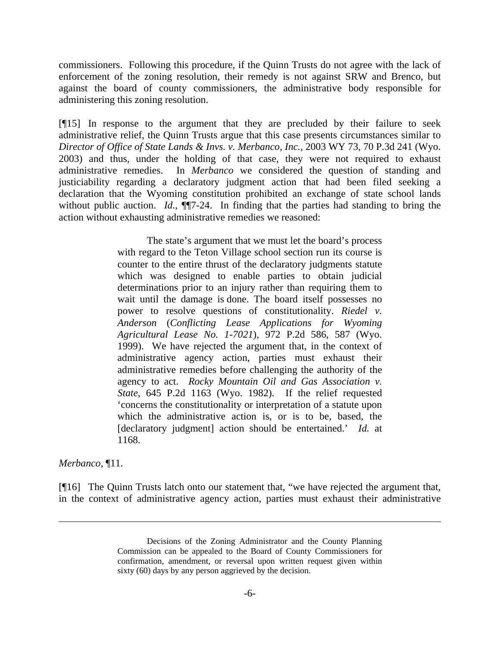commissioners. Following this procedure, if the Quinn Trusts do not agree with the lack of enforcement of the zoning resolution, their remedy is not against SRW and Brenco, but against the board of county commissioners, the administrative body responsible for administering this zoning resolution.

[¶15] In response to the argument that they are precluded by their failure to seek administrative relief, the Quinn Trusts argue that this case presents circumstances similar to *Director of Office of State Lands & Invs. v. Merbanco, Inc.,* 2003 WY 73, 70 P.3d 241 (Wyo. 2003) and thus, under the holding of that case, they were not required to exhaust administrative remedies. In *Merbanco* we considered the question of standing and justiciability regarding a declaratory judgment action that had been filed seeking a declaration that the Wyoming constitution prohibited an exchange of state school lands without public auction. *Id.*, **11**7-24. In finding that the parties had standing to bring the action without exhausting administrative remedies we reasoned:

> The state's argument that we must let the board's process with regard to the Teton Village school section run its course is counter to the entire thrust of the declaratory judgments statute which was designed to enable parties to obtain judicial determinations prior to an injury rather than requiring them to wait until the damage is done. The board itself possesses no power to resolve questions of constitutionality. *Riedel v. Anderson* (*Conflicting Lease Applications for Wyoming Agricultural Lease No. 1-7021*), 972 P.2d 586, 587 (Wyo. 1999). We have rejected the argument that, in the context of administrative agency action, parties must exhaust their administrative remedies before challenging the authority of the agency to act. *Rocky Mountain Oil and Gas Association v. State*, 645 P.2d 1163 (Wyo. 1982). If the relief requested 'concerns the constitutionality or interpretation of a statute upon which the administrative action is, or is to be, based, the [declaratory judgment] action should be entertained.' *Id.* at 1168.

*Merbanco*, ¶11.

 $\overline{a}$ 

[¶16] The Quinn Trusts latch onto our statement that, "we have rejected the argument that, in the context of administrative agency action, parties must exhaust their administrative

Decisions of the Zoning Administrator and the County Planning Commission can be appealed to the Board of County Commissioners for confirmation, amendment, or reversal upon written request given within sixty (60) days by any person aggrieved by the decision.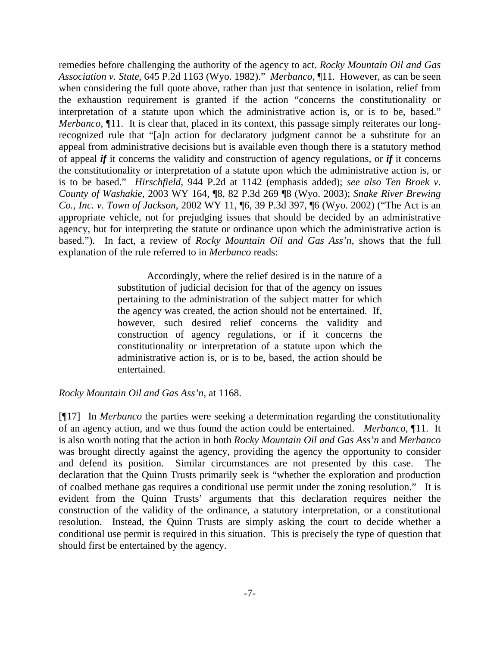remedies before challenging the authority of the agency to act. *Rocky Mountain Oil and Gas Association v. State*, 645 P.2d 1163 (Wyo. 1982)." *Merbanco*, ¶11. However, as can be seen when considering the full quote above, rather than just that sentence in isolation, relief from the exhaustion requirement is granted if the action "concerns the constitutionality or interpretation of a statute upon which the administrative action is, or is to be, based." *Merbanco*,  $\P$ 11. It is clear that, placed in its context, this passage simply reiterates our longrecognized rule that "[a]n action for declaratory judgment cannot be a substitute for an appeal from administrative decisions but is available even though there is a statutory method of appeal *if* it concerns the validity and construction of agency regulations, or *if* it concerns the constitutionality or interpretation of a statute upon which the administrative action is, or is to be based." *Hirschfield*, 944 P.2d at 1142 (emphasis added); *see also Ten Broek v. County of Washakie,* 2003 WY 164, ¶8, 82 P.3d 269 ¶8 (Wyo. 2003); *Snake River Brewing Co., Inc. v. Town of Jackson*, 2002 WY 11, ¶6, 39 P.3d 397, ¶6 (Wyo. 2002) ("The Act is an appropriate vehicle, not for prejudging issues that should be decided by an administrative agency, but for interpreting the statute or ordinance upon which the administrative action is based."). In fact, a review of *Rocky Mountain Oil and Gas Ass'n*, shows that the full explanation of the rule referred to in *Merbanco* reads:

> Accordingly, where the relief desired is in the nature of a substitution of judicial decision for that of the agency on issues pertaining to the administration of the subject matter for which the agency was created, the action should not be entertained. If, however, such desired relief concerns the validity and construction of agency regulations, or if it concerns the constitutionality or interpretation of a statute upon which the administrative action is, or is to be, based, the action should be entertained.

## *Rocky Mountain Oil and Gas Ass'n*, at 1168.

[¶17] In *Merbanco* the parties were seeking a determination regarding the constitutionality of an agency action, and we thus found the action could be entertained. *Merbanco*, ¶11. It is also worth noting that the action in both *Rocky Mountain Oil and Gas Ass'n* and *Merbanco* was brought directly against the agency, providing the agency the opportunity to consider and defend its position. Similar circumstances are not presented by this case. The declaration that the Quinn Trusts primarily seek is "whether the exploration and production of coalbed methane gas requires a conditional use permit under the zoning resolution." It is evident from the Quinn Trusts' arguments that this declaration requires neither the construction of the validity of the ordinance, a statutory interpretation, or a constitutional resolution. Instead, the Quinn Trusts are simply asking the court to decide whether a conditional use permit is required in this situation. This is precisely the type of question that should first be entertained by the agency.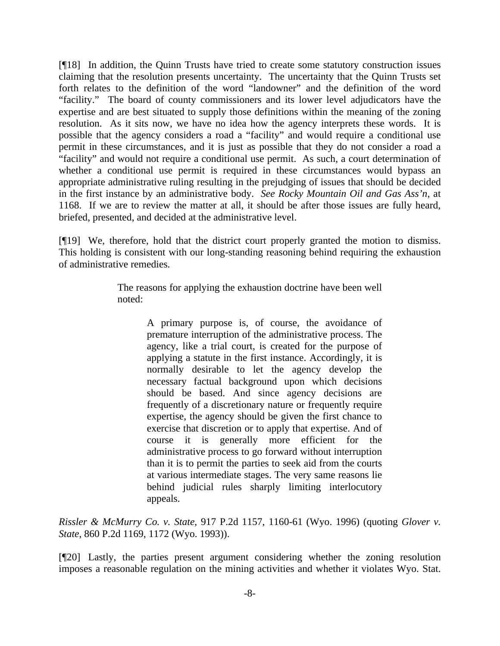[¶18] In addition, the Quinn Trusts have tried to create some statutory construction issues claiming that the resolution presents uncertainty. The uncertainty that the Quinn Trusts set forth relates to the definition of the word "landowner" and the definition of the word "facility." The board of county commissioners and its lower level adjudicators have the expertise and are best situated to supply those definitions within the meaning of the zoning resolution. As it sits now, we have no idea how the agency interprets these words. It is possible that the agency considers a road a "facility" and would require a conditional use permit in these circumstances, and it is just as possible that they do not consider a road a "facility" and would not require a conditional use permit. As such, a court determination of whether a conditional use permit is required in these circumstances would bypass an appropriate administrative ruling resulting in the prejudging of issues that should be decided in the first instance by an administrative body. *See Rocky Mountain Oil and Gas Ass'n*, at 1168. If we are to review the matter at all, it should be after those issues are fully heard, briefed, presented, and decided at the administrative level.

[¶19] We, therefore, hold that the district court properly granted the motion to dismiss. This holding is consistent with our long-standing reasoning behind requiring the exhaustion of administrative remedies.

> The reasons for applying the exhaustion doctrine have been well noted:

> > A primary purpose is, of course, the avoidance of premature interruption of the administrative process. The agency, like a trial court, is created for the purpose of applying a statute in the first instance. Accordingly, it is normally desirable to let the agency develop the necessary factual background upon which decisions should be based. And since agency decisions are frequently of a discretionary nature or frequently require expertise, the agency should be given the first chance to exercise that discretion or to apply that expertise. And of course it is generally more efficient for the administrative process to go forward without interruption than it is to permit the parties to seek aid from the courts at various intermediate stages. The very same reasons lie behind judicial rules sharply limiting interlocutory appeals.

*Rissler & McMurry Co. v. State*, 917 P.2d 1157, 1160-61 (Wyo. 1996) (quoting *Glover v. State*, 860 P.2d 1169, 1172 (Wyo. 1993)).

[¶20] Lastly, the parties present argument considering whether the zoning resolution imposes a reasonable regulation on the mining activities and whether it violates Wyo. Stat.